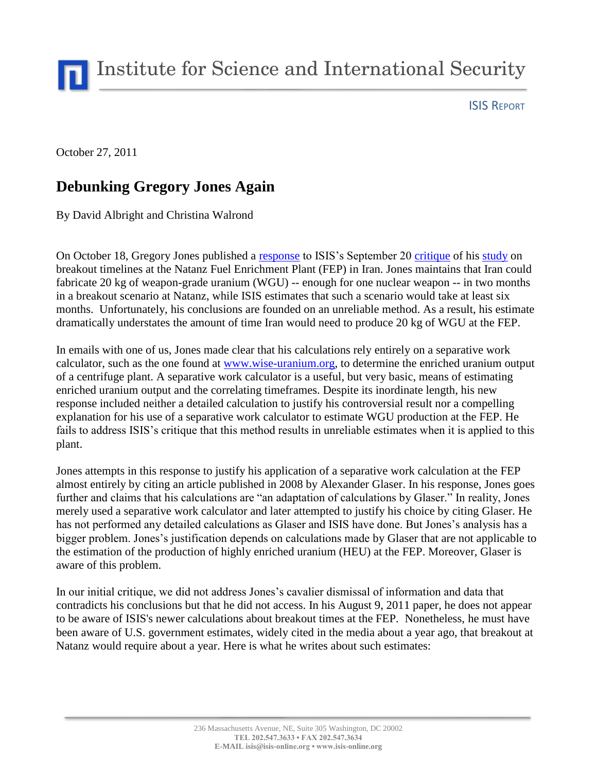Institute for Science and International Security

ISIS REPORT

October 27, 2011

## **Debunking Gregory Jones Again**

By David Albright and Christina Walrond

On October 18, Gregory Jones published a [response](http://npolicy.org/article.php?aid=1105&rid=4) to ISIS's September 20 [critique](http://isis-online.org/isis-reports/detail/critique-of-gregory-joness-breakout-estimates-at-the-natanz-fuel-enrichment/) of his [study](http://npolicy.org/article.php?aid=1092&rid=4) on breakout timelines at the Natanz Fuel Enrichment Plant (FEP) in Iran. Jones maintains that Iran could fabricate 20 kg of weapon-grade uranium (WGU) -- enough for one nuclear weapon -- in two months in a breakout scenario at Natanz, while ISIS estimates that such a scenario would take at least six months. Unfortunately, his conclusions are founded on an unreliable method. As a result, his estimate dramatically understates the amount of time Iran would need to produce 20 kg of WGU at the FEP.

In emails with one of us, Jones made clear that his calculations rely entirely on a separative work calculator, such as the one found at [www.wise-uranium.org,](http://www.wise-uranium.org/nfcue.html) to determine the enriched uranium output of a centrifuge plant. A separative work calculator is a useful, but very basic, means of estimating enriched uranium output and the correlating timeframes. Despite its inordinate length, his new response included neither a detailed calculation to justify his controversial result nor a compelling explanation for his use of a separative work calculator to estimate WGU production at the FEP. He fails to address ISIS's critique that this method results in unreliable estimates when it is applied to this plant.

Jones attempts in this response to justify his application of a separative work calculation at the FEP almost entirely by citing an article published in 2008 by Alexander Glaser. In his response, Jones goes further and claims that his calculations are "an adaptation of calculations by Glaser." In reality, Jones merely used a separative work calculator and later attempted to justify his choice by citing Glaser. He has not performed any detailed calculations as Glaser and ISIS have done. But Jones's analysis has a bigger problem. Jones's justification depends on calculations made by Glaser that are not applicable to the estimation of the production of highly enriched uranium (HEU) at the FEP. Moreover, Glaser is aware of this problem.

In our initial critique, we did not address Jones's cavalier dismissal of information and data that contradicts his conclusions but that he did not access. In his August 9, 2011 paper, he does not appear to be aware of ISIS's newer calculations about breakout times at the FEP. Nonetheless, he must have been aware of U.S. government estimates, widely cited in the media about a year ago, that breakout at Natanz would require about a year. Here is what he writes about such estimates: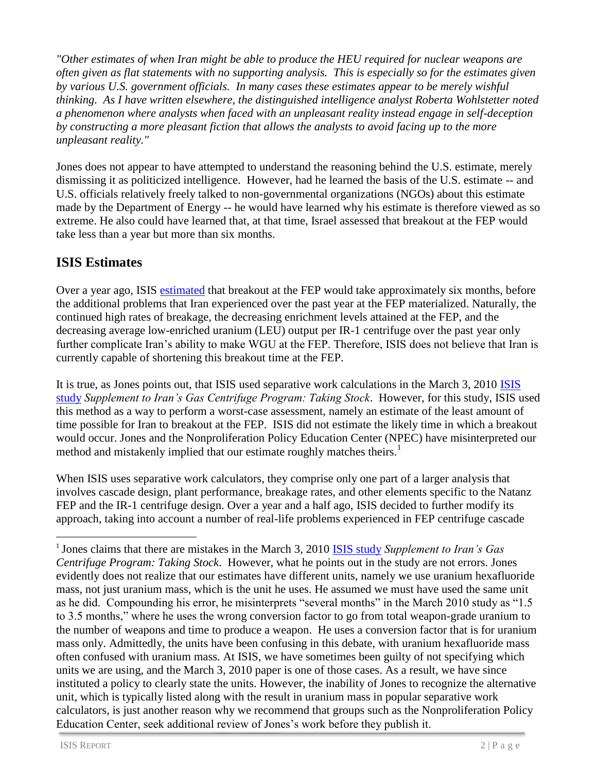*"Other estimates of when Iran might be able to produce the HEU required for nuclear weapons are often given as flat statements with no supporting analysis. This is especially so for the estimates given by various U.S. government officials. In many cases these estimates appear to be merely wishful thinking. As I have written elsewhere, the distinguished intelligence analyst Roberta Wohlstetter noted a phenomenon where analysts when faced with an unpleasant reality instead engage in self-deception by constructing a more pleasant fiction that allows the analysts to avoid facing up to the more unpleasant reality."*

Jones does not appear to have attempted to understand the reasoning behind the U.S. estimate, merely dismissing it as politicized intelligence. However, had he learned the basis of the U.S. estimate -- and U.S. officials relatively freely talked to non-governmental organizations (NGOs) about this estimate made by the Department of Energy -- he would have learned why his estimate is therefore viewed as so extreme. He also could have learned that, at that time, Israel assessed that breakout at the FEP would take less than a year but more than six months.

## **ISIS Estimates**

Over a year ago, ISIS [estimated](http://isis-online.org/isis-reports/detail/irans-gas-centrifuge-program-taking-stock/8) that breakout at the FEP would take approximately six months, before the additional problems that Iran experienced over the past year at the FEP materialized. Naturally, the continued high rates of breakage, the decreasing enrichment levels attained at the FEP, and the decreasing average low-enriched uranium (LEU) output per IR-1 centrifuge over the past year only further complicate Iran's ability to make WGU at the FEP. Therefore, ISIS does not believe that Iran is currently capable of shortening this breakout time at the FEP.

It is true, as Jones points out, that ISIS used separative work calculations in the March 3, 2010 [ISIS](http://isis-online.org/isis-reports/detail/supplement-to-irans-gas-centrifuge-program-taking-stock/)  [study](http://isis-online.org/isis-reports/detail/supplement-to-irans-gas-centrifuge-program-taking-stock/) *Supplement to Iran's Gas Centrifuge Program: Taking Stock*. However, for this study, ISIS used this method as a way to perform a worst-case assessment, namely an estimate of the least amount of time possible for Iran to breakout at the FEP. ISIS did not estimate the likely time in which a breakout would occur. Jones and the Nonproliferation Policy Education Center (NPEC) have misinterpreted our method and mistakenly implied that our estimate roughly matches theirs.<sup>1</sup>

When ISIS uses separative work calculators, they comprise only one part of a larger analysis that involves cascade design, plant performance, breakage rates, and other elements specific to the Natanz FEP and the IR-1 centrifuge design. Over a year and a half ago, ISIS decided to further modify its approach, taking into account a number of real-life problems experienced in FEP centrifuge cascade

 $\overline{a}$ 

<sup>&</sup>lt;sup>1</sup> Jones claims that there are mistakes in the March 3, 2010 **ISIS study** Supplement to Iran's Gas *Centrifuge Program: Taking Stock*. However, what he points out in the study are not errors. Jones evidently does not realize that our estimates have different units, namely we use uranium hexafluoride mass, not just uranium mass, which is the unit he uses. He assumed we must have used the same unit as he did. Compounding his error, he misinterprets "several months" in the March 2010 study as "1.5 to 3.5 months," where he uses the wrong conversion factor to go from total weapon-grade uranium to the number of weapons and time to produce a weapon. He uses a conversion factor that is for uranium mass only. Admittedly, the units have been confusing in this debate, with uranium hexafluoride mass often confused with uranium mass. At ISIS, we have sometimes been guilty of not specifying which units we are using, and the March 3, 2010 paper is one of those cases. As a result, we have since instituted a policy to clearly state the units. However, the inability of Jones to recognize the alternative unit, which is typically listed along with the result in uranium mass in popular separative work calculators, is just another reason why we recommend that groups such as the Nonproliferation Policy Education Center, seek additional review of Jones's work before they publish it.